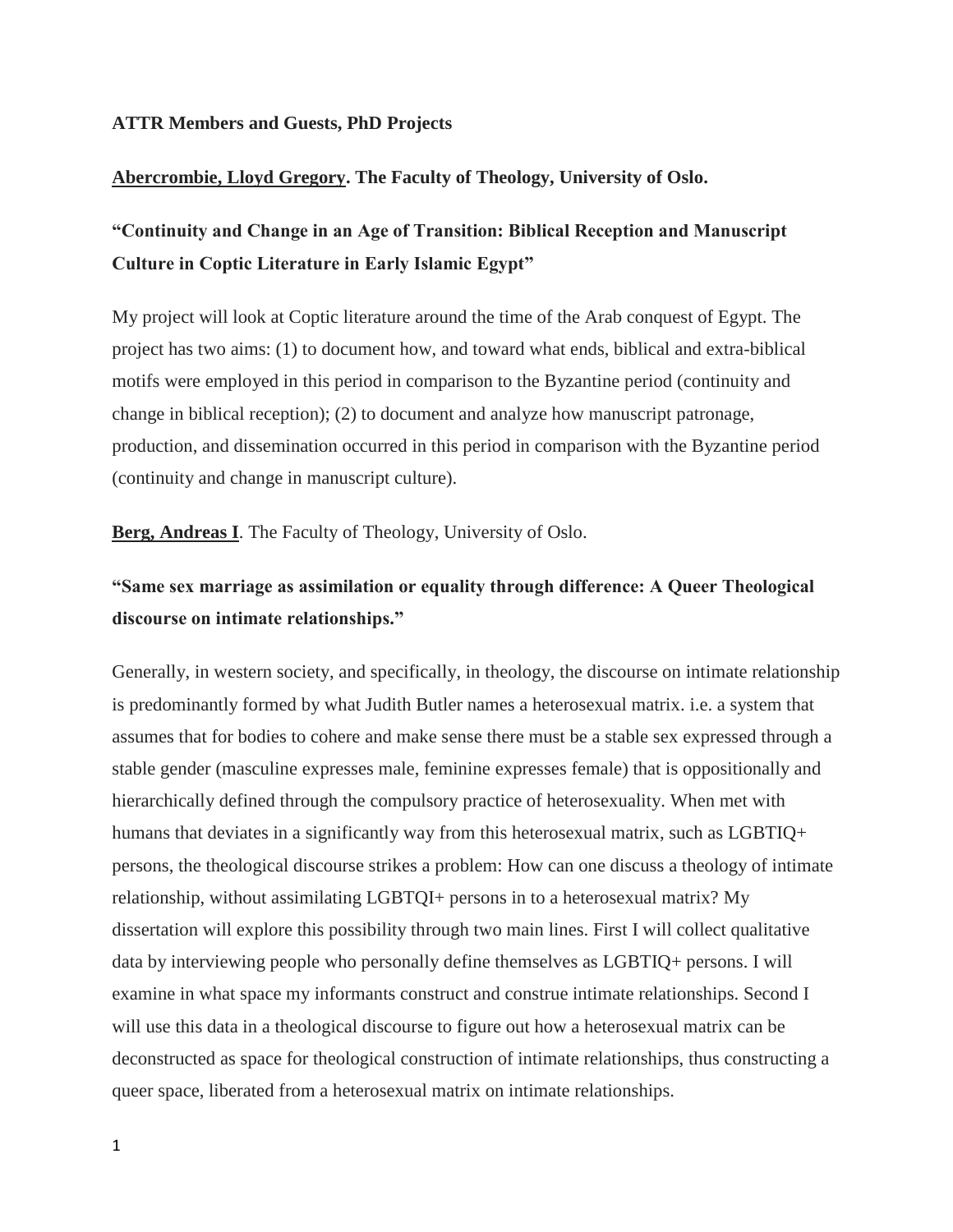## **ATTR Members and Guests, PhD Projects**

## **Abercrombie, Lloyd Gregory. The Faculty of Theology, University of Oslo.**

# **"Continuity and Change in an Age of Transition: Biblical Reception and Manuscript Culture in Coptic Literature in Early Islamic Egypt"**

My project will look at Coptic literature around the time of the Arab conquest of Egypt. The project has two aims: (1) to document how, and toward what ends, biblical and extra-biblical motifs were employed in this period in comparison to the Byzantine period (continuity and change in biblical reception); (2) to document and analyze how manuscript patronage, production, and dissemination occurred in this period in comparison with the Byzantine period (continuity and change in manuscript culture).

**Berg, Andreas I**. The Faculty of Theology, University of Oslo.

## **"Same sex marriage as assimilation or equality through difference: A Queer Theological discourse on intimate relationships."**

Generally, in western society, and specifically, in theology, the discourse on intimate relationship is predominantly formed by what Judith Butler names a heterosexual matrix. i.e. a system that assumes that for bodies to cohere and make sense there must be a stable sex expressed through a stable gender (masculine expresses male, feminine expresses female) that is oppositionally and hierarchically defined through the compulsory practice of heterosexuality. When met with humans that deviates in a significantly way from this heterosexual matrix, such as LGBTIQ+ persons, the theological discourse strikes a problem: How can one discuss a theology of intimate relationship, without assimilating LGBTQI+ persons in to a heterosexual matrix? My dissertation will explore this possibility through two main lines. First I will collect qualitative data by interviewing people who personally define themselves as LGBTIQ+ persons. I will examine in what space my informants construct and construe intimate relationships. Second I will use this data in a theological discourse to figure out how a heterosexual matrix can be deconstructed as space for theological construction of intimate relationships, thus constructing a queer space, liberated from a heterosexual matrix on intimate relationships.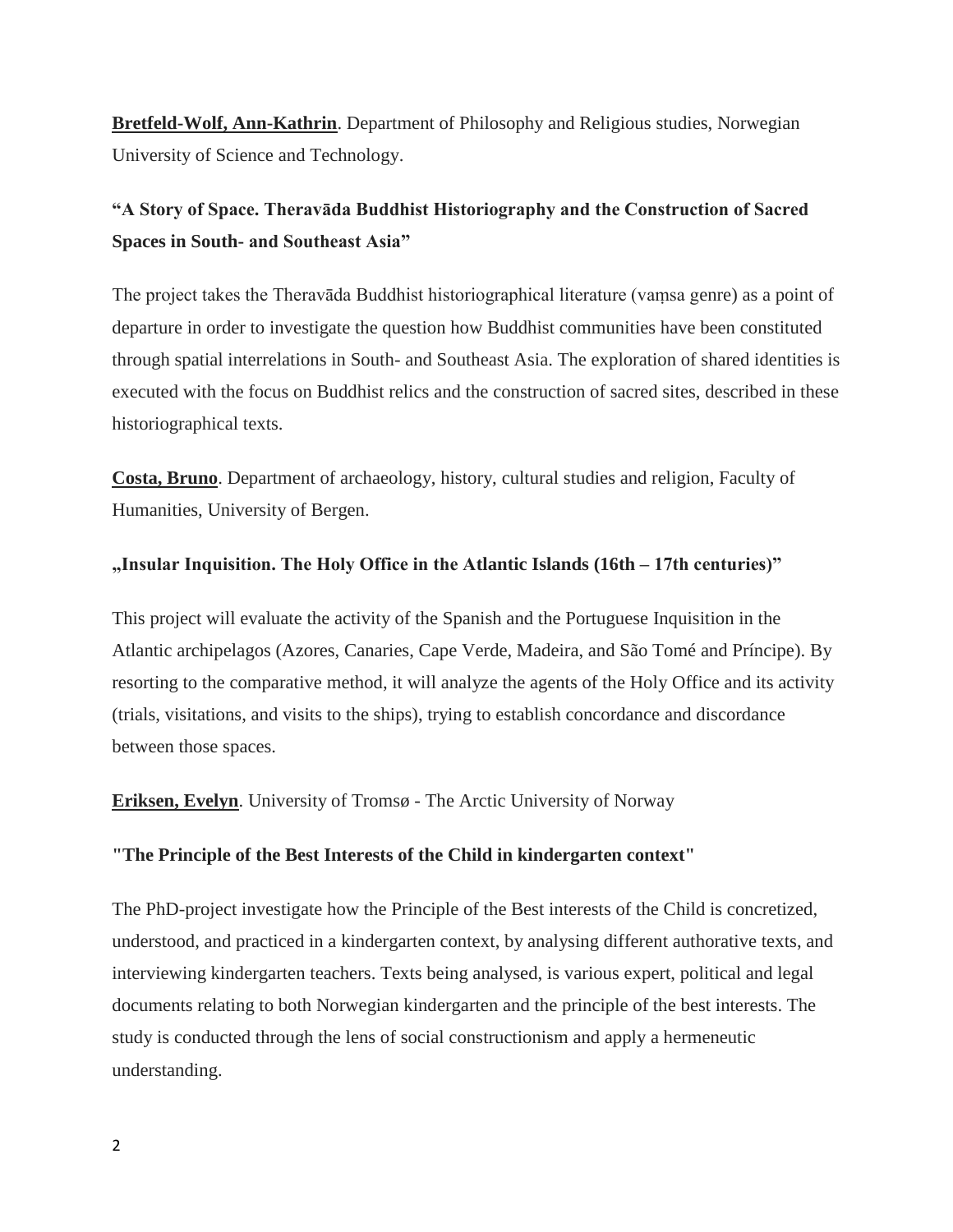**Bretfeld-Wolf, Ann-Kathrin**. Department of Philosophy and Religious studies, Norwegian University of Science and Technology.

# **"A Story of Space. Theravāda Buddhist Historiography and the Construction of Sacred Spaces in South- and Southeast Asia"**

The project takes the Theravāda Buddhist historiographical literature (vaṃsa genre) as a point of departure in order to investigate the question how Buddhist communities have been constituted through spatial interrelations in South- and Southeast Asia. The exploration of shared identities is executed with the focus on Buddhist relics and the construction of sacred sites, described in these historiographical texts.

**Costa, Bruno**. Department of archaeology, history, cultural studies and religion, Faculty of Humanities, University of Bergen.

## **"Insular Inquisition. The Holy Office in the Atlantic Islands (16th – 17th centuries)"**

This project will evaluate the activity of the Spanish and the Portuguese Inquisition in the Atlantic archipelagos (Azores, Canaries, Cape Verde, Madeira, and São Tomé and Príncipe). By resorting to the comparative method, it will analyze the agents of the Holy Office and its activity (trials, visitations, and visits to the ships), trying to establish concordance and discordance between those spaces.

**Eriksen, Evelyn**. University of Tromsø - The Arctic University of Norway

## **"The Principle of the Best Interests of the Child in kindergarten context"**

The PhD-project investigate how the Principle of the Best interests of the Child is concretized, understood, and practiced in a kindergarten context, by analysing different authorative texts, and interviewing kindergarten teachers. Texts being analysed, is various expert, political and legal documents relating to both Norwegian kindergarten and the principle of the best interests. The study is conducted through the lens of social constructionism and apply a hermeneutic understanding.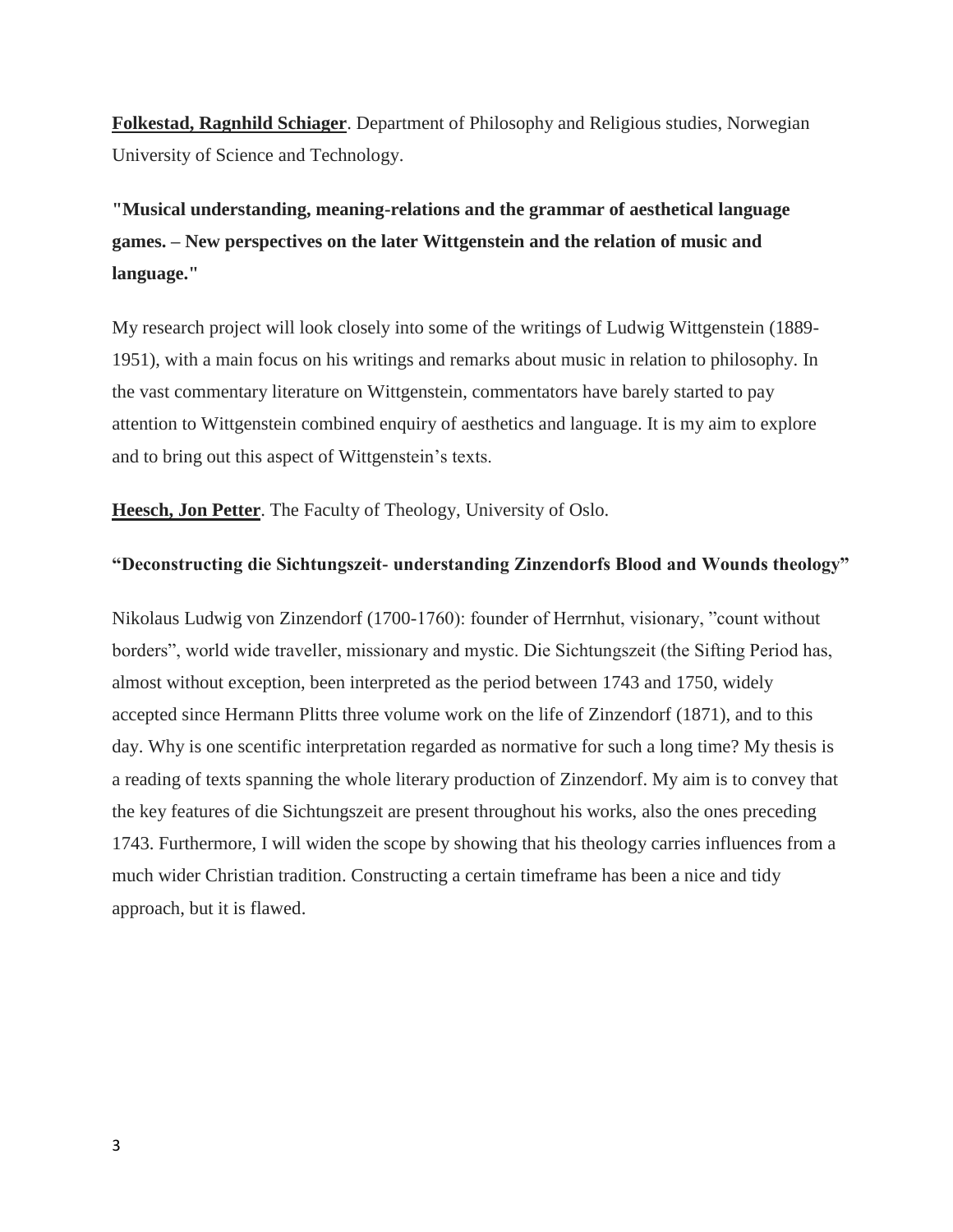**Folkestad, Ragnhild Schiager**. Department of Philosophy and Religious studies, Norwegian University of Science and Technology.

**"Musical understanding, meaning-relations and the grammar of aesthetical language games. – New perspectives on the later Wittgenstein and the relation of music and language."**

My research project will look closely into some of the writings of Ludwig Wittgenstein (1889- 1951), with a main focus on his writings and remarks about music in relation to philosophy. In the vast commentary literature on Wittgenstein, commentators have barely started to pay attention to Wittgenstein combined enquiry of aesthetics and language. It is my aim to explore and to bring out this aspect of Wittgenstein's texts.

**Heesch, Jon Petter**. The Faculty of Theology, University of Oslo.

## **"Deconstructing die Sichtungszeit- understanding Zinzendorfs Blood and Wounds theology"**

Nikolaus Ludwig von Zinzendorf (1700-1760): founder of Herrnhut, visionary, "count without borders", world wide traveller, missionary and mystic. Die Sichtungszeit (the Sifting Period has, almost without exception, been interpreted as the period between 1743 and 1750, widely accepted since Hermann Plitts three volume work on the life of Zinzendorf (1871), and to this day. Why is one scentific interpretation regarded as normative for such a long time? My thesis is a reading of texts spanning the whole literary production of Zinzendorf. My aim is to convey that the key features of die Sichtungszeit are present throughout his works, also the ones preceding 1743. Furthermore, I will widen the scope by showing that his theology carries influences from a much wider Christian tradition. Constructing a certain timeframe has been a nice and tidy approach, but it is flawed.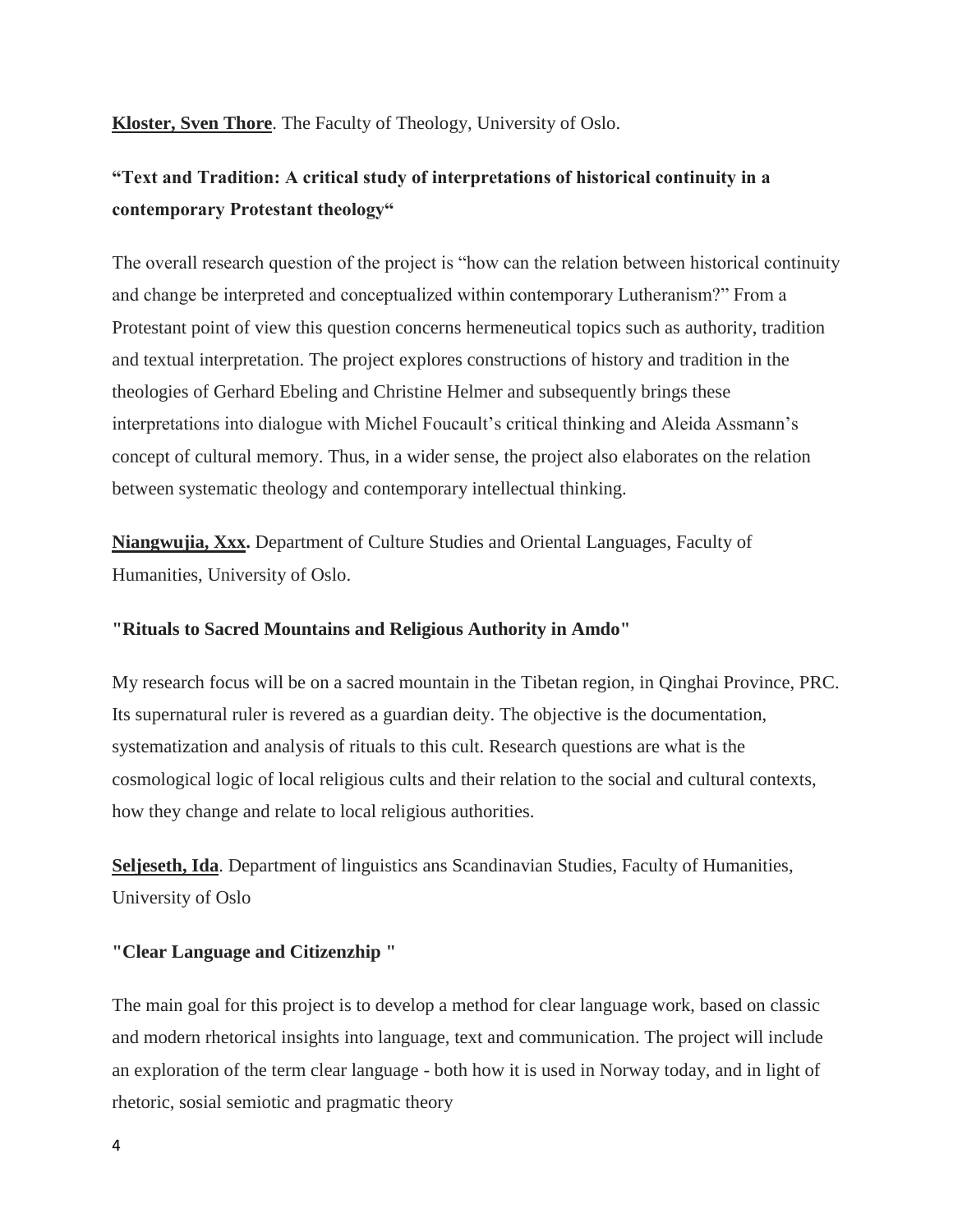**Kloster, Sven Thore**. The Faculty of Theology, University of Oslo.

# **"Text and Tradition: A critical study of interpretations of historical continuity in a contemporary Protestant theology"**

The overall research question of the project is "how can the relation between historical continuity and change be interpreted and conceptualized within contemporary Lutheranism?" From a Protestant point of view this question concerns hermeneutical topics such as authority, tradition and textual interpretation. The project explores constructions of history and tradition in the theologies of Gerhard Ebeling and Christine Helmer and subsequently brings these interpretations into dialogue with Michel Foucault's critical thinking and Aleida Assmann's concept of cultural memory. Thus, in a wider sense, the project also elaborates on the relation between systematic theology and contemporary intellectual thinking.

**Niangwujia, Xxx.** Department of Culture Studies and Oriental Languages, Faculty of Humanities, University of Oslo.

## **"Rituals to Sacred Mountains and Religious Authority in Amdo"**

My research focus will be on a sacred mountain in the Tibetan region, in Qinghai Province, PRC. Its supernatural ruler is revered as a guardian deity. The objective is the documentation, systematization and analysis of rituals to this cult. Research questions are what is the cosmological logic of local religious cults and their relation to the social and cultural contexts, how they change and relate to local religious authorities.

**Seljeseth, Ida**. Department of linguistics ans Scandinavian Studies, Faculty of Humanities, University of Oslo

## **"Clear Language and Citizenzhip "**

The main goal for this project is to develop a method for clear language work, based on classic and modern rhetorical insights into language, text and communication. The project will include an exploration of the term clear language - both how it is used in Norway today, and in light of rhetoric, sosial semiotic and pragmatic theory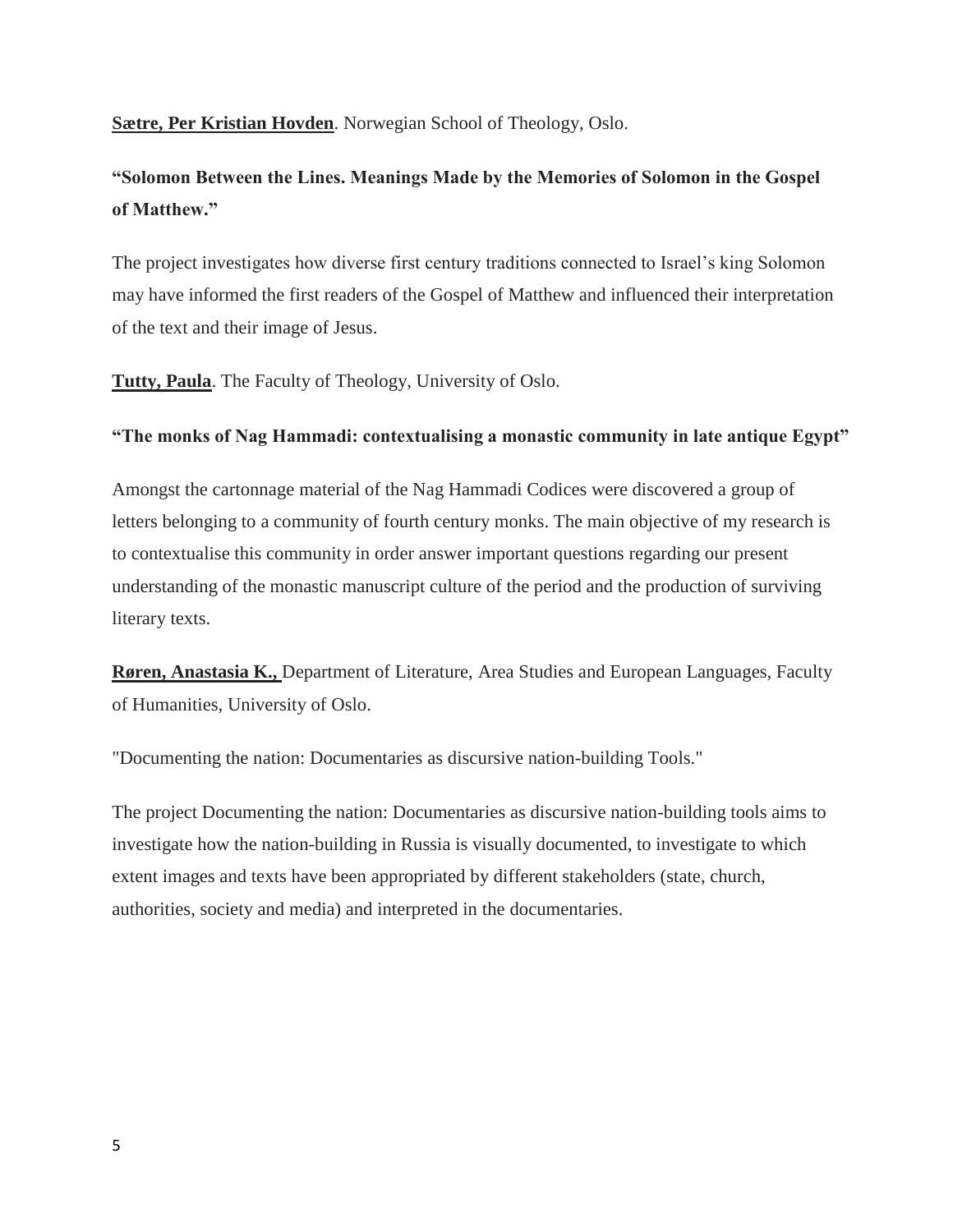**Sætre, Per Kristian Hovden**. Norwegian School of Theology, Oslo.

# **"Solomon Between the Lines. Meanings Made by the Memories of Solomon in the Gospel of Matthew."**

The project investigates how diverse first century traditions connected to Israel's king Solomon may have informed the first readers of the Gospel of Matthew and influenced their interpretation of the text and their image of Jesus.

**Tutty, Paula**. The Faculty of Theology, University of Oslo.

## **"The monks of Nag Hammadi: contextualising a monastic community in late antique Egypt"**

Amongst the cartonnage material of the Nag Hammadi Codices were discovered a group of letters belonging to a community of fourth century monks. The main objective of my research is to contextualise this community in order answer important questions regarding our present understanding of the monastic manuscript culture of the period and the production of surviving literary texts.

**Røren, Anastasia K.,** Department of Literature, Area Studies and European Languages, Faculty of Humanities, University of Oslo.

"Documenting the nation: Documentaries as discursive nation-building Tools."

The project Documenting the nation: Documentaries as discursive nation-building tools aims to investigate how the nation-building in Russia is visually documented, to investigate to which extent images and texts have been appropriated by different stakeholders (state, church, authorities, society and media) and interpreted in the documentaries.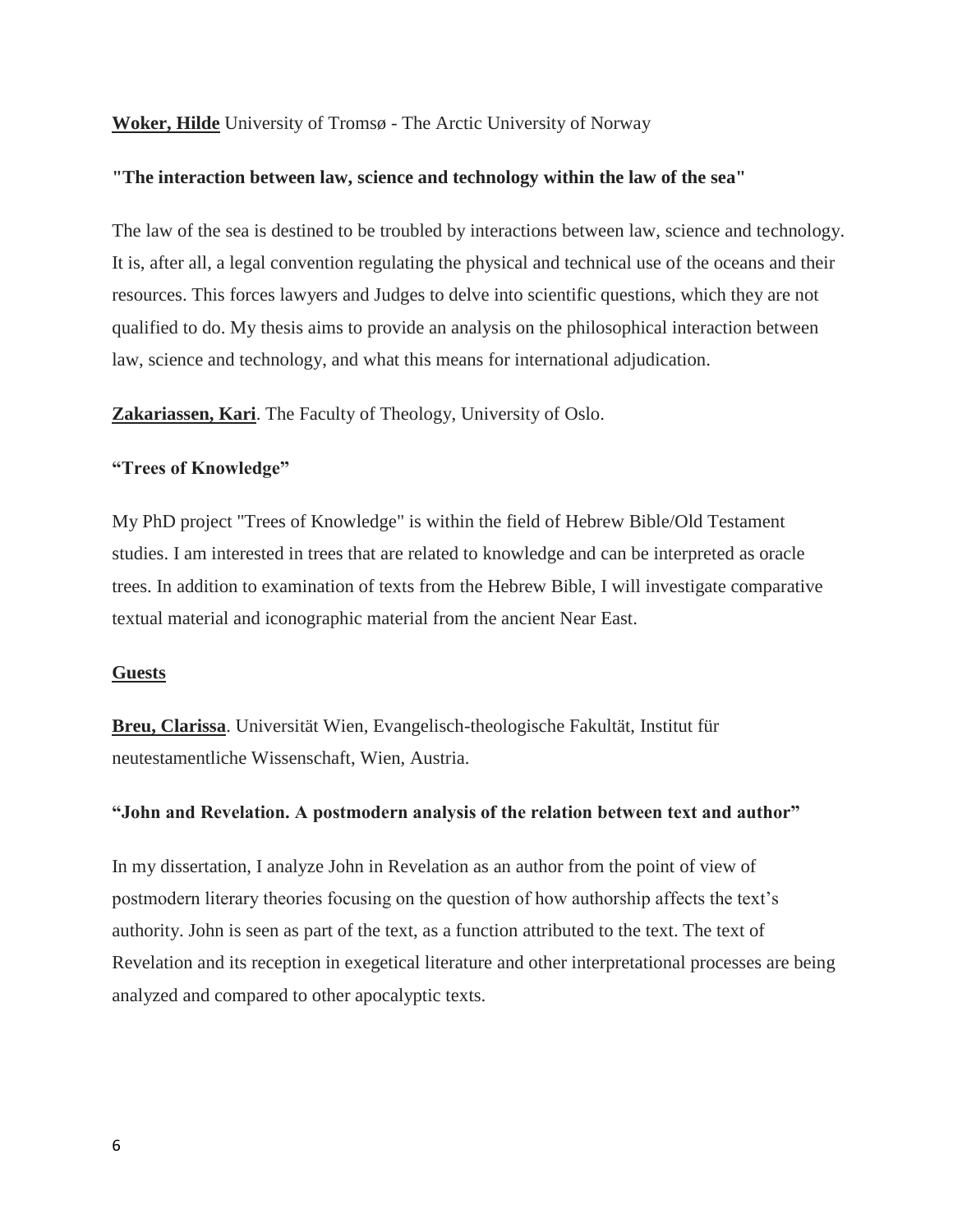## **Woker, Hilde** University of Tromsø - The Arctic University of Norway

#### **"The interaction between law, science and technology within the law of the sea"**

The law of the sea is destined to be troubled by interactions between law, science and technology. It is, after all, a legal convention regulating the physical and technical use of the oceans and their resources. This forces lawyers and Judges to delve into scientific questions, which they are not qualified to do. My thesis aims to provide an analysis on the philosophical interaction between law, science and technology, and what this means for international adjudication.

**Zakariassen, Kari**. The Faculty of Theology, University of Oslo.

### **"Trees of Knowledge"**

My PhD project "Trees of Knowledge" is within the field of Hebrew Bible/Old Testament studies. I am interested in trees that are related to knowledge and can be interpreted as oracle trees. In addition to examination of texts from the Hebrew Bible, I will investigate comparative textual material and iconographic material from the ancient Near East.

#### **Guests**

**Breu, Clarissa**. Universität Wien, Evangelisch-theologische Fakultät, Institut für neutestamentliche Wissenschaft, Wien, Austria.

### **"John and Revelation. A postmodern analysis of the relation between text and author"**

In my dissertation, I analyze John in Revelation as an author from the point of view of postmodern literary theories focusing on the question of how authorship affects the text's authority. John is seen as part of the text, as a function attributed to the text. The text of Revelation and its reception in exegetical literature and other interpretational processes are being analyzed and compared to other apocalyptic texts.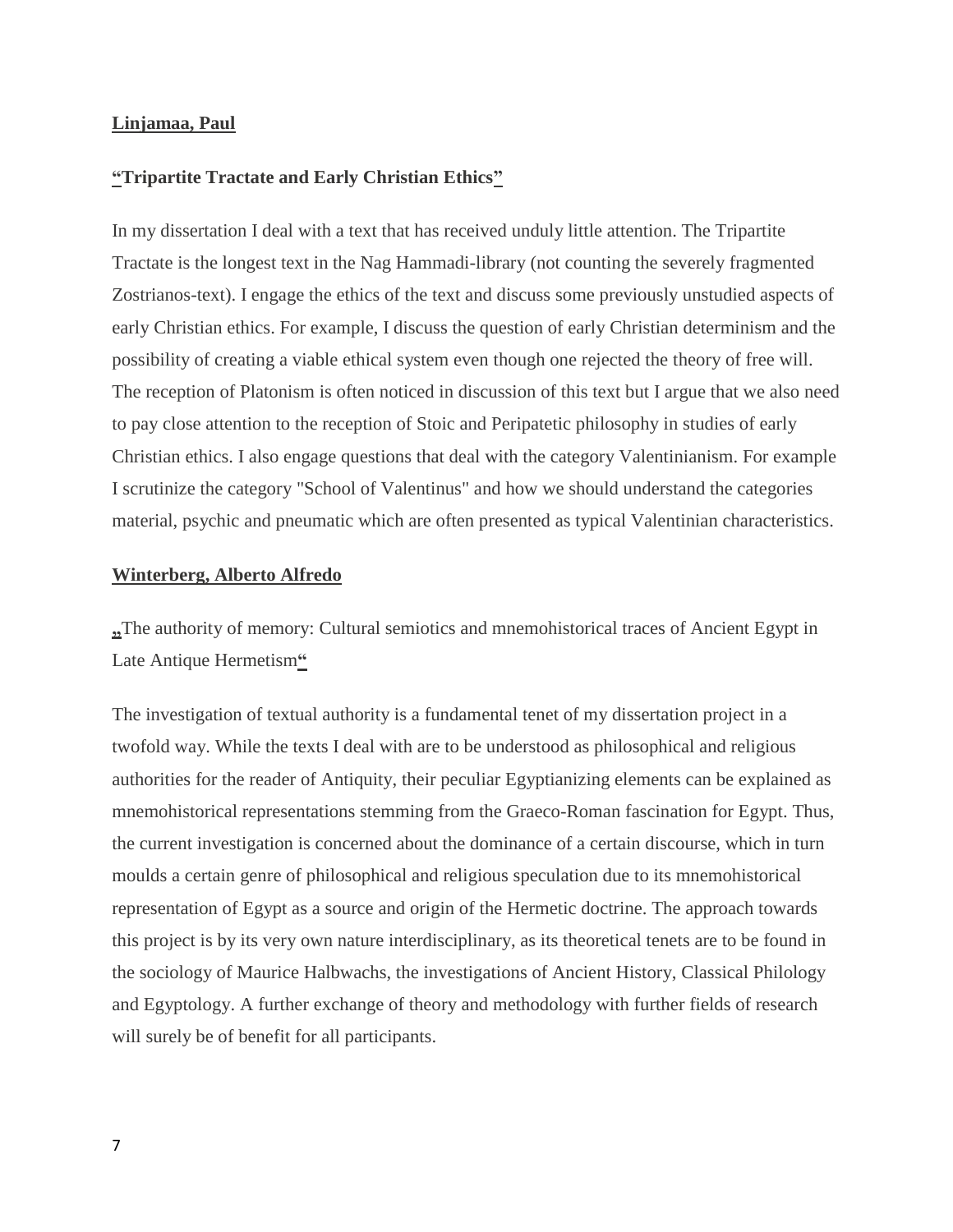### **Linjamaa, Paul**

### **"Tripartite Tractate and Early Christian Ethics"**

In my dissertation I deal with a text that has received unduly little attention. The Tripartite Tractate is the longest text in the Nag Hammadi-library (not counting the severely fragmented Zostrianos-text). I engage the ethics of the text and discuss some previously unstudied aspects of early Christian ethics. For example, I discuss the question of early Christian determinism and the possibility of creating a viable ethical system even though one rejected the theory of free will. The reception of Platonism is often noticed in discussion of this text but I argue that we also need to pay close attention to the reception of Stoic and Peripatetic philosophy in studies of early Christian ethics. I also engage questions that deal with the category Valentinianism. For example I scrutinize the category "School of Valentinus" and how we should understand the categories material, psychic and pneumatic which are often presented as typical Valentinian characteristics.

#### **Winterberg, Alberto Alfredo**

**"**The authority of memory: Cultural semiotics and mnemohistorical traces of Ancient Egypt in Late Antique Hermetism**"**

The investigation of textual authority is a fundamental tenet of my dissertation project in a twofold way. While the texts I deal with are to be understood as philosophical and religious authorities for the reader of Antiquity, their peculiar Egyptianizing elements can be explained as mnemohistorical representations stemming from the Graeco-Roman fascination for Egypt. Thus, the current investigation is concerned about the dominance of a certain discourse, which in turn moulds a certain genre of philosophical and religious speculation due to its mnemohistorical representation of Egypt as a source and origin of the Hermetic doctrine. The approach towards this project is by its very own nature interdisciplinary, as its theoretical tenets are to be found in the sociology of Maurice Halbwachs, the investigations of Ancient History, Classical Philology and Egyptology. A further exchange of theory and methodology with further fields of research will surely be of benefit for all participants.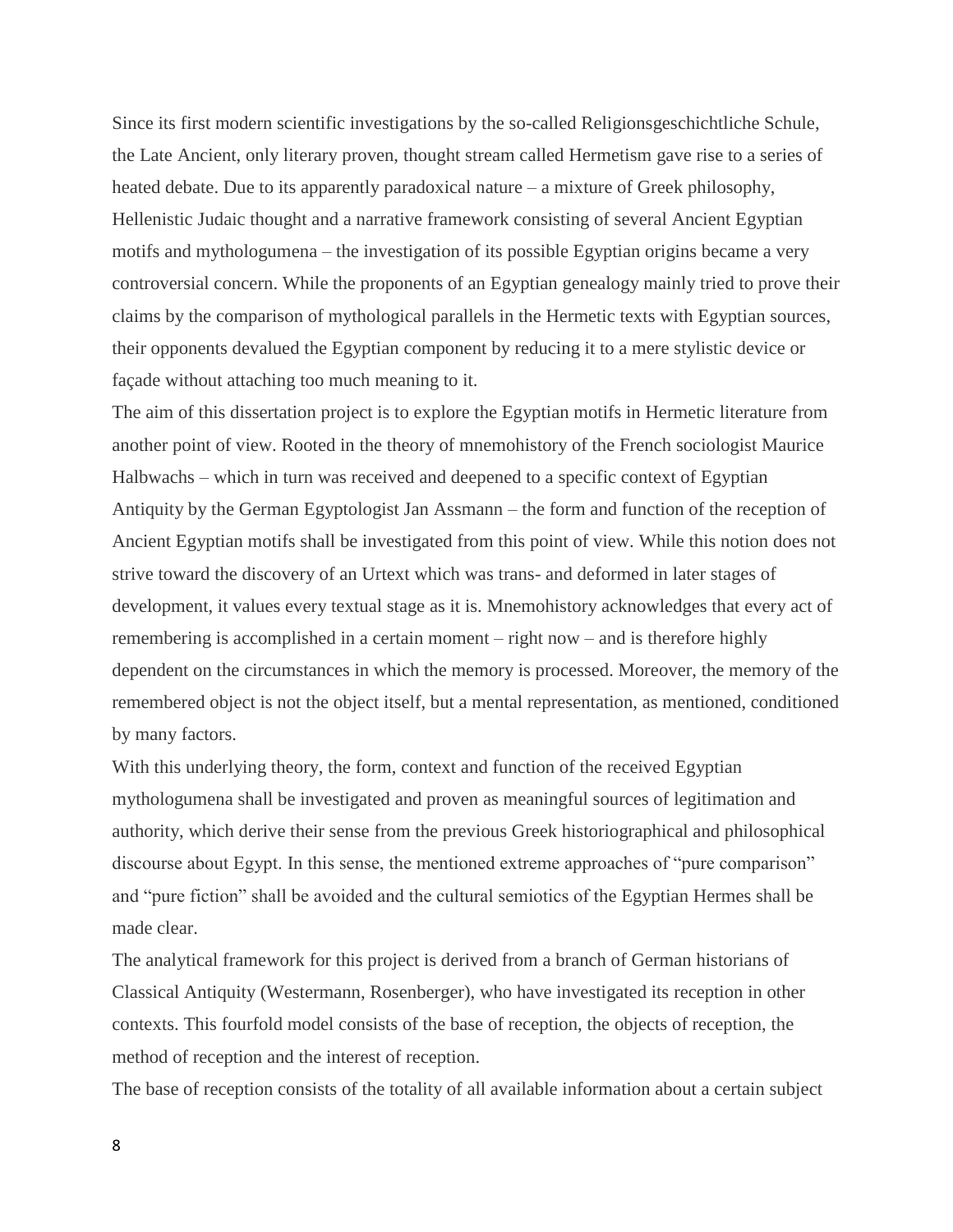Since its first modern scientific investigations by the so-called Religionsgeschichtliche Schule, the Late Ancient, only literary proven, thought stream called Hermetism gave rise to a series of heated debate. Due to its apparently paradoxical nature – a mixture of Greek philosophy, Hellenistic Judaic thought and a narrative framework consisting of several Ancient Egyptian motifs and mythologumena – the investigation of its possible Egyptian origins became a very controversial concern. While the proponents of an Egyptian genealogy mainly tried to prove their claims by the comparison of mythological parallels in the Hermetic texts with Egyptian sources, their opponents devalued the Egyptian component by reducing it to a mere stylistic device or façade without attaching too much meaning to it.

The aim of this dissertation project is to explore the Egyptian motifs in Hermetic literature from another point of view. Rooted in the theory of mnemohistory of the French sociologist Maurice Halbwachs – which in turn was received and deepened to a specific context of Egyptian Antiquity by the German Egyptologist Jan Assmann – the form and function of the reception of Ancient Egyptian motifs shall be investigated from this point of view. While this notion does not strive toward the discovery of an Urtext which was trans- and deformed in later stages of development, it values every textual stage as it is. Mnemohistory acknowledges that every act of remembering is accomplished in a certain moment – right now – and is therefore highly dependent on the circumstances in which the memory is processed. Moreover, the memory of the remembered object is not the object itself, but a mental representation, as mentioned, conditioned by many factors.

With this underlying theory, the form, context and function of the received Egyptian mythologumena shall be investigated and proven as meaningful sources of legitimation and authority, which derive their sense from the previous Greek historiographical and philosophical discourse about Egypt. In this sense, the mentioned extreme approaches of "pure comparison" and "pure fiction" shall be avoided and the cultural semiotics of the Egyptian Hermes shall be made clear.

The analytical framework for this project is derived from a branch of German historians of Classical Antiquity (Westermann, Rosenberger), who have investigated its reception in other contexts. This fourfold model consists of the base of reception, the objects of reception, the method of reception and the interest of reception.

The base of reception consists of the totality of all available information about a certain subject

8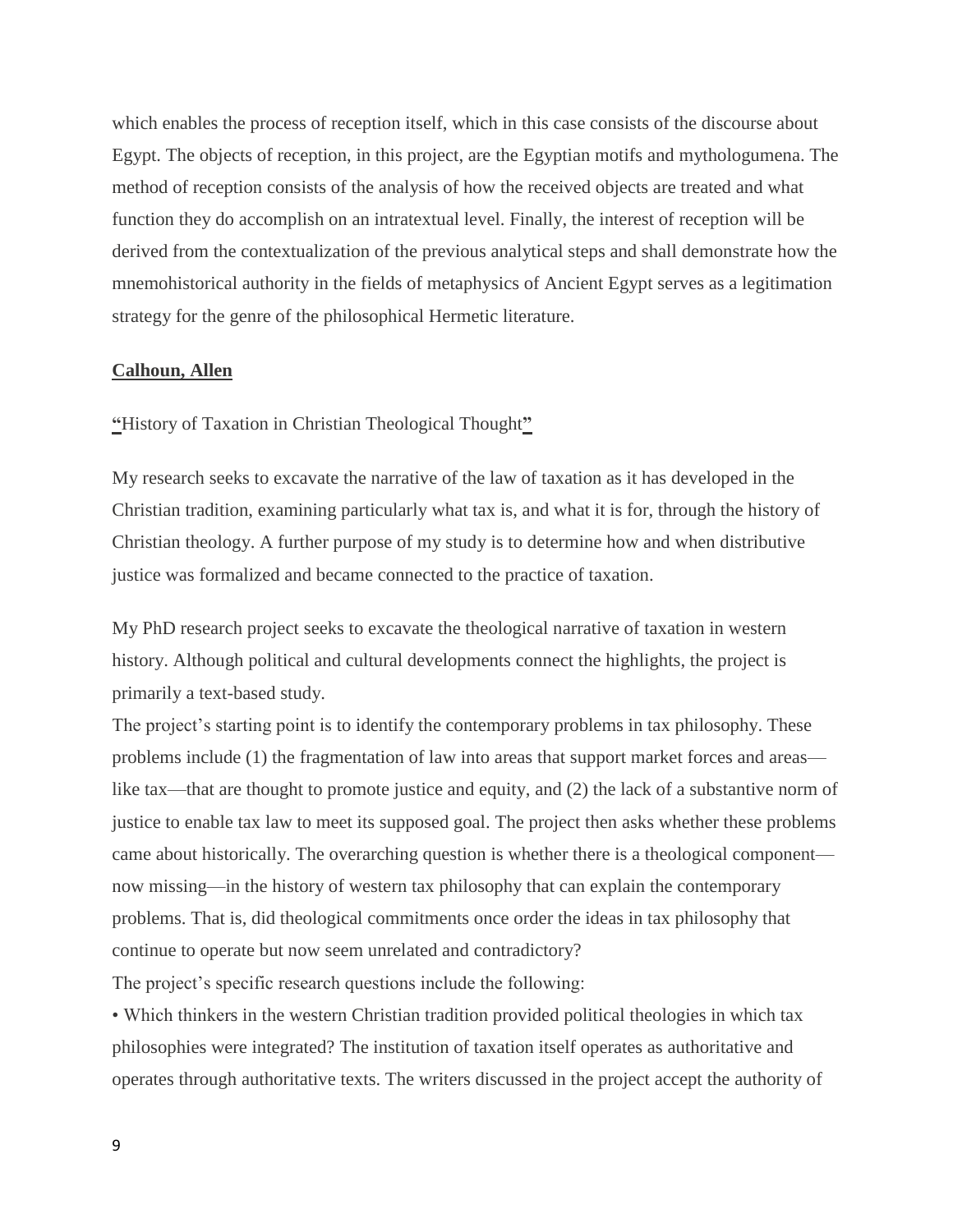which enables the process of reception itself, which in this case consists of the discourse about Egypt. The objects of reception, in this project, are the Egyptian motifs and mythologumena. The method of reception consists of the analysis of how the received objects are treated and what function they do accomplish on an intratextual level. Finally, the interest of reception will be derived from the contextualization of the previous analytical steps and shall demonstrate how the mnemohistorical authority in the fields of metaphysics of Ancient Egypt serves as a legitimation strategy for the genre of the philosophical Hermetic literature.

### **Calhoun, Allen**

**"**History of Taxation in Christian Theological Thought**"**

My research seeks to excavate the narrative of the law of taxation as it has developed in the Christian tradition, examining particularly what tax is, and what it is for, through the history of Christian theology. A further purpose of my study is to determine how and when distributive justice was formalized and became connected to the practice of taxation.

My PhD research project seeks to excavate the theological narrative of taxation in western history. Although political and cultural developments connect the highlights, the project is primarily a text-based study.

The project's starting point is to identify the contemporary problems in tax philosophy. These problems include (1) the fragmentation of law into areas that support market forces and areas like tax—that are thought to promote justice and equity, and (2) the lack of a substantive norm of justice to enable tax law to meet its supposed goal. The project then asks whether these problems came about historically. The overarching question is whether there is a theological component now missing—in the history of western tax philosophy that can explain the contemporary problems. That is, did theological commitments once order the ideas in tax philosophy that continue to operate but now seem unrelated and contradictory?

The project's specific research questions include the following:

• Which thinkers in the western Christian tradition provided political theologies in which tax philosophies were integrated? The institution of taxation itself operates as authoritative and operates through authoritative texts. The writers discussed in the project accept the authority of